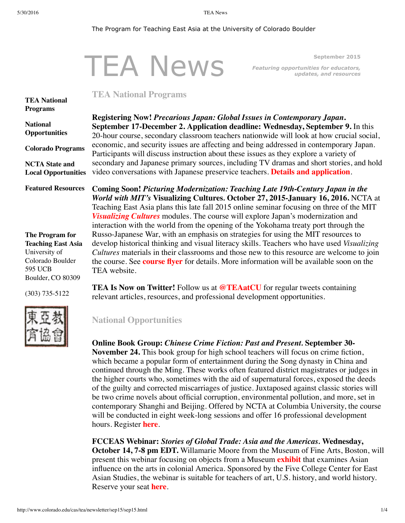#### <span id="page-0-0"></span>The Program for Teaching East Asia at the University of Colorado Boulder

|                                        |                                                                                                                                                                                              | <b>TEA News</b> | September 2015                                                                                                                                                                                                                                                                                                                                                                                                                           |
|----------------------------------------|----------------------------------------------------------------------------------------------------------------------------------------------------------------------------------------------|-----------------|------------------------------------------------------------------------------------------------------------------------------------------------------------------------------------------------------------------------------------------------------------------------------------------------------------------------------------------------------------------------------------------------------------------------------------------|
|                                        |                                                                                                                                                                                              |                 | <b>Featuring opportunities for educators,</b><br>updates, and resources                                                                                                                                                                                                                                                                                                                                                                  |
|                                        | <b>TEA National Programs</b>                                                                                                                                                                 |                 |                                                                                                                                                                                                                                                                                                                                                                                                                                          |
| <b>TEA National</b><br><b>Programs</b> |                                                                                                                                                                                              |                 |                                                                                                                                                                                                                                                                                                                                                                                                                                          |
| <b>National</b>                        |                                                                                                                                                                                              |                 | Registering Now! Precarious Japan: Global Issues in Contemporary Japan.                                                                                                                                                                                                                                                                                                                                                                  |
| <b>Opportunities</b>                   | September 17-December 2. Application deadline: Wednesday, September 9. In this<br>20-hour course, secondary classroom teachers nationwide will look at how crucial social,                   |                 |                                                                                                                                                                                                                                                                                                                                                                                                                                          |
| <b>Colorado Programs</b>               | economic, and security issues are affecting and being addressed in contemporary Japan.<br>Participants will discuss instruction about these issues as they explore a variety of              |                 |                                                                                                                                                                                                                                                                                                                                                                                                                                          |
| <b>NCTA State and</b>                  | secondary and Japanese primary sources, including TV dramas and short stories, and hold<br>video conversations with Japanese preservice teachers. Details and application.                   |                 |                                                                                                                                                                                                                                                                                                                                                                                                                                          |
| <b>Local Opportunities</b>             |                                                                                                                                                                                              |                 |                                                                                                                                                                                                                                                                                                                                                                                                                                          |
| <b>Featured Resources</b>              |                                                                                                                                                                                              |                 | Coming Soon! Picturing Modernization: Teaching Late 19th-Century Japan in the<br>World with MIT's Visualizing Cultures. October 27, 2015-January 16, 2016. NCTA at<br>Teaching East Asia plans this late fall 2015 online seminar focusing on three of the MIT<br>Visualizing Cultures modules. The course will explore Japan's modernization and<br>interaction with the world from the opening of the Yokohama treaty port through the |
| The Program for                        | Russo-Japanese War, with an emphasis on strategies for using the MIT resources to                                                                                                            |                 |                                                                                                                                                                                                                                                                                                                                                                                                                                          |
| <b>Teaching East Asia</b>              | develop historical thinking and visual literacy skills. Teachers who have used <i>Visualizing</i>                                                                                            |                 |                                                                                                                                                                                                                                                                                                                                                                                                                                          |
| University of<br>Colorado Boulder      | Cultures materials in their classrooms and those new to this resource are welcome to join<br>the course. See <b>course flyer</b> for details. More information will be available soon on the |                 |                                                                                                                                                                                                                                                                                                                                                                                                                                          |
| 595 UCB                                | TEA website                                                                                                                                                                                  |                 |                                                                                                                                                                                                                                                                                                                                                                                                                                          |

(303) 735-5122

Boulder, CO 80309



**TEA Is Now on Twitter!** Follow us at **[@TEAatCU](https://twitter.com/teaatcu/)** for regular tweets containing relevant articles, resources, and professional development opportunities.

## <span id="page-0-1"></span>**National Opportunities**

#### **Online Book Group:** *Chinese Crime Fiction: Past and Present.* **September 30-**

**November 24.** This book group for high school teachers will focus on crime fiction, which became a popular form of entertainment during the Song dynasty in China and continued through the Ming. These works often featured district magistrates or judges in the higher courts who, sometimes with the aid of supernatural forces, exposed the deeds of the guilty and corrected miscarriages of justice. Juxtaposed against classic stories will be two crime novels about official corruption, environmental pollution, and more, set in contemporary Shanghi and Beijing. Offered by NCTA at Columbia University, the course will be conducted in eight week-long sessions and offer 16 professional development hours. Register **[here](http://asiaforeducators.org/login/index.php)**.

**FCCEAS Webinar:** *Stories of Global Trade: Asia and the Americas.* **Wednesday, October 14, 7-8 pm EDT.** Willamarie Moore from the Museum of Fine Arts, Boston, will present this webinar focusing on objects from a Museum **[exhibit](http://www.mfa.org/exhibitions/made-in-the-americas)** that examines Asian influence on the arts in colonial America. Sponsored by the Five College Center for East Asian Studies, the webinar is suitable for teachers of art, U.S. history, and world history. Reserve your seat **[here](https://attendee.gotowebinar.com/register/1341029621198506242)**.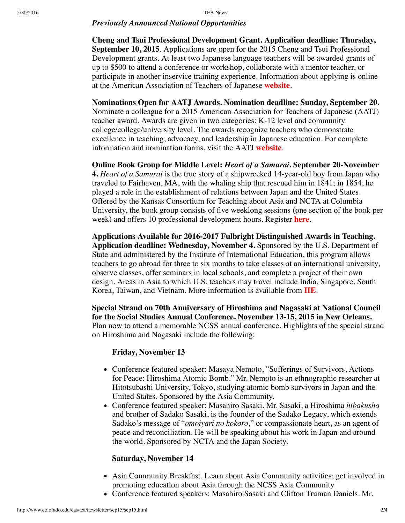### *Previously Announced National Opportunities*

**Cheng and Tsui Professional Development Grant. Application deadline: Thursday, September 10, 2015**. Applications are open for the 2015 Cheng and Tsui Professional Development grants. At least two Japanese language teachers will be awarded grants of up to \$500 to attend a conference or workshop, collaborate with a mentor teacher, or participate in another inservice training experience. Information about applying is online at the American Association of Teachers of Japanese **[website](http://www.aatj.org/prodev-cheng-and-tsui)**.

**Nominations Open for AATJ Awards. Nomination deadline: Sunday, September 20.** Nominate a colleague for a 2015 American Association for Teachers of Japanese (AATJ) teacher award. Awards are given in two categories: K-12 level and community college/college/university level. The awards recognize teachers who demonstrate excellence in teaching, advocacy, and leadership in Japanese education. For complete information and nomination forms, visit the AATJ **[website](http://www.aatj.org/prodev-awards-recipients)**.

**Online Book Group for Middle Level:** *Heart of a Samurai.* **September 20-November 4.** *Heart of a Samurai* is the true story of a shipwrecked 14-year-old boy from Japan who traveled to Fairhaven, MA, with the whaling ship that rescued him in 1841; in 1854, he played a role in the establishment of relations between Japan and the United States. Offered by the Kansas Consortium for Teaching about Asia and NCTA at Columbia University, the book group consists of five weeklong sessions (one section of the book per week) and offers 10 professional development hours. Register **[here](http://asiaforeducators.org/login/index.php)**.

**Applications Available for 2016-2017 Fulbright Distinguished Awards in Teaching. Application deadline: Wednesday, November 4.** Sponsored by the U.S. Department of State and administered by the Institute of International Education, this program allows teachers to go abroad for three to six months to take classes at an international university, observe classes, offer seminars in local schools, and complete a project of their own design. Areas in Asia to which U.S. teachers may travel include India, Singapore, South Korea, Taiwan, and Vietnam. More information is available from **[IIE](http://www.iie.org/en/Programs/Fulbright-Awards-In-Teaching)**.

**Special Strand on 70th Anniversary of Hiroshima and Nagasaki at National Council for the Social Studies Annual Conference. November 13-15, 2015 in New Orleans.** Plan now to attend a memorable NCSS annual conference. Highlights of the special strand on Hiroshima and Nagasaki include the following:

### **Friday, November 13**

- Conference featured speaker: Masaya Nemoto, "Sufferings of Survivors, Actions for Peace: Hiroshima Atomic Bomb." Mr. Nemoto is an ethnographic researcher at Hitotsubashi University, Tokyo, studying atomic bomb survivors in Japan and the United States. Sponsored by the Asia Community.
- Conference featured speaker: Masahiro Sasaki. Mr. Sasaki, a Hiroshima *hibakusha* and brother of Sadako Sasaki, is the founder of the Sadako Legacy, which extends Sadako's message of "*omoiyari no kokoro*," or compassionate heart, as an agent of peace and reconciliation. He will be speaking about his work in Japan and around the world. Sponsored by NCTA and the Japan Society.

### **Saturday, November 14**

- Asia Community Breakfast. Learn about Asia Community activities; get involved in promoting education about Asia through the NCSS Asia Community
- Conference featured speakers: Masahiro Sasaki and Clifton Truman Daniels. Mr.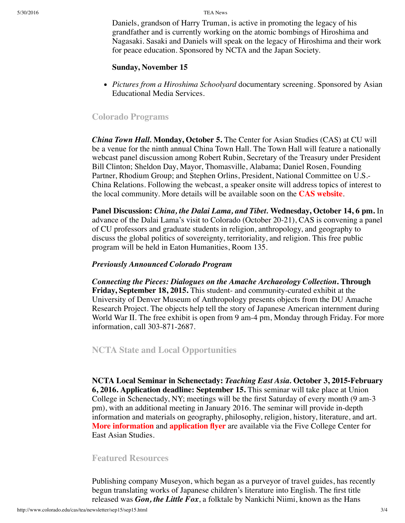Daniels, grandson of Harry Truman, is active in promoting the legacy of his grandfather and is currently working on the atomic bombings of Hiroshima and Nagasaki. Sasaki and Daniels will speak on the legacy of Hiroshima and their work for peace education. Sponsored by NCTA and the Japan Society.

#### **Sunday, November 15**

*Pictures from a Hiroshima Schoolyard* documentary screening. Sponsored by Asian Educational Media Services.

# <span id="page-2-0"></span>**Colorado Programs**

*China Town Hall.* **Monday, October 5.** The Center for Asian Studies (CAS) at CU will be a venue for the ninth annual China Town Hall. The Town Hall will feature a nationally webcast panel discussion among Robert Rubin, Secretary of the Treasury under President Bill Clinton; Sheldon Day, Mayor, Thomasville, Alabama; Daniel Rosen, Founding Partner, Rhodium Group; and Stephen Orlins, President, National Committee on U.S.- China Relations. Following the webcast, a speaker onsite will address topics of interest to the local community. More details will be available soon on the **CAS [website](http://www.colorado.edu/cas)**.

**Panel Discussion:** *China, the Dalai Lama, and Tibet.* **Wednesday, October 14, 6 pm.** In advance of the Dalai Lama's visit to Colorado (October 20-21), CAS is convening a panel of CU professors and graduate students in religion, anthropology, and geography to discuss the global politics of sovereignty, territoriality, and religion. This free public program will be held in Eaton Humanities, Room 135.

### *Previously Announced Colorado Program*

*Connecting the Pieces: Dialogues on the Amache Archaeology Collection***. Through Friday, September 18, 2015.** This student- and community-curated exhibit at the University of Denver Museum of Anthropology presents objects from the DU Amache Research Project. The objects help tell the story of Japanese American internment during World War II. The free exhibit is open from 9 am-4 pm, Monday through Friday. For more information, call 303-871-2687.

# <span id="page-2-1"></span>**NCTA State and Local Opportunities**

**NCTA Local Seminar in Schenectady:** *Teaching East Asia.* **October 3, 2015-February 6, 2016. Application deadline: September 15.** This seminar will take place at Union College in Schenectady, NY; meetings will be the first Saturday of every month (9 am-3 pm), with an additional meeting in January 2016. The seminar will provide in-depth information and materials on geography, philosophy, religion, history, literature, and art. **More [information](https://www.fivecolleges.edu/system/files/NCTA%202015-16%20Schenectady%20UPDATED.pdf)** and **[application](https://www.fivecolleges.edu/system/files/Schenectady%20NY%20NCTA%20Application%20Form%202015-2016%20UPDATED.pdf) flyer** are available via the Five College Center for East Asian Studies.

#### <span id="page-2-2"></span>**Featured Resources**

Publishing company Museyon, which began as a purveyor of travel guides, has recently begun translating works of Japanese children's literature into English. The first title released was *Gon, the Little Fox*, a folktale by Nankichi Niimi, known as the Hans